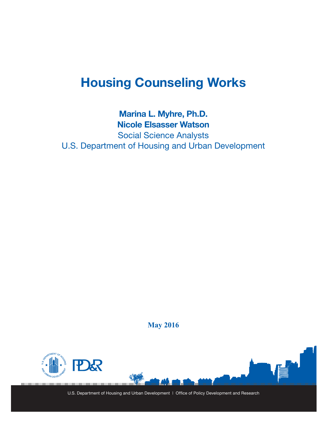# **Housing Counseling Works**

### **Marina L. Myhre, Ph.D. Nicole Elsasser Watson**

Social Science Analysts U.S. Department of Housing and Urban Development

**May 2016**



U.S. Department of Housing and Urban Development | Office of Policy Development and Research

**IMARIA**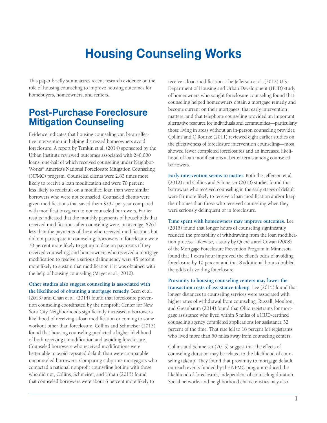# **Housing Counseling Works**

This paper briefly summarizes recent research evidence on the role of housing counseling to improve housing outcomes for homebuyers, homeowners, and renters.

## **Post-Purchase Foreclosure Mitigation Counseling**

Evidence indicates that housing counseling can be an effective intervention in helping distressed homeowners avoid foreclosure. A report by Temkin et al. (2014) sponsored by the Urban Institute reviewed outcomes associated with 240,000 loans, one-half of which received counseling under Neighbor-Works® America's National Foreclosure Mitigation Counseling (NFMC) program. Counseled clients were 2.83 times more likely to receive a loan modification and were 70 percent less likely to redefault on a modified loan than were similar borrowers who were not counseled. Counseled clients were given modifications that saved them \$732 per year compared with modifications given to noncounseled borrowers. Earlier results indicated that the monthly payments of households that received modifications after counseling were, on average, \$267 less than the payments of those who received modifications but did not participate in counseling; borrowers in foreclosure were 70 percent more likely to get up to date on payments if they received counseling; and homeowners who received a mortgage modification to resolve a serious delinquency were 45 percent more likely to sustain that modification if it was obtained with the help of housing counseling (Mayer et al., 2010).

**Other studies also suggest counseling is associated with the likelihood of obtaining a mortgage remedy.** Been et al. (2013) and Chan et al. (2014) found that foreclosure prevention counseling coordinated by the nonprofit Center for New York City Neighborhoods significantly increased a borrower's likelihood of receiving a loan modification or coming to some workout other than foreclosure. Collins and Schmeiser (2013) found that housing counseling predicted a higher likelihood of both receiving a modification and avoiding foreclosure. Counseled borrowers who received modifications were better able to avoid repeated default than were comparable uncounseled borrowers. Comparing subprime mortgagors who contacted a national nonprofit counseling hotline with those who did not, Collins, Schmeiser, and Urban (2013) found that counseled borrowers were about 6 percent more likely to

receive a loan modification. The Jefferson et al. (2012) U.S. Department of Housing and Urban Development (HUD) study of homeowners who sought foreclosure counseling found that counseling helped homeowners obtain a mortgage remedy and become current on their mortgages, that early intervention matters, and that telephone counseling provided an important alternative resource for individuals and communities—particularly those living in areas without an in-person counseling provider. Collins and O'Rourke (2011) reviewed eight earlier studies on the effectiveness of foreclosure intervention counseling—most showed fewer completed foreclosures and an increased likelihood of loan modifications at better terms among counseled borrowers.

**Early intervention seems to matter.** Both the Jefferson et al. (2012) and Collins and Schmeiser (2010) studies found that borrowers who received counseling in the early stages of default were far more likely to receive a loan modification and/or keep their homes than those who received counseling when they were seriously delinquent or in foreclosure.

**Time spent with homeowners may improve outcomes.** Lee (2015) found that longer hours of counseling significantly reduced the probability of withdrawing from the loan modification process. Likewise, a study by Quercia and Cowan (2008) of the Mortgage Foreclosure Prevention Program in Minnesota found that 1 extra hour improved the client's odds of avoiding foreclosure by 10 percent and that 8 additional hours doubled the odds of avoiding foreclosure.

**Proximity to housing counseling centers may lower the transaction costs of assistance takeup.** Lee (2015) found that longer distances to counseling services were associated with higher rates of withdrawal from counseling. Russell, Moulton, and Greenbaum (2014) found that Ohio registrants for mortgage assistance who lived within 5 miles of a HUD-certified counseling agency completed applications for assistance 32 percent of the time. That rate fell to 18 percent for registrants who lived more than 50 miles away from counseling centers.

Collins and Schmeiser (2013) suggest that the effects of counseling duration may be related to the likelihood of counseling takeup. They found that proximity to mortgage default outreach events funded by the NFMC program reduced the likelihood of foreclosure, independent of counseling duration. Social networks and neighborhood characteristics may also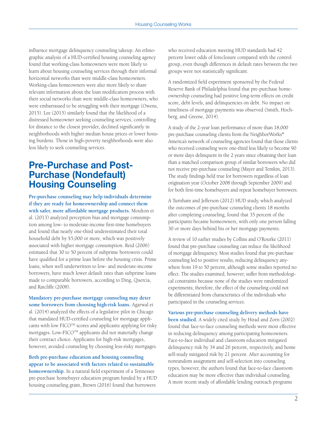influence mortgage delinquency counseling takeup. An ethnographic analysis of a HUD-certified housing counseling agency found that working-class homeowners were more likely to learn about housing counseling services through their informal horizontal networks than were middle-class homeowners. Working-class homeowners were also more likely to share relevant information about the loan modification process with their social networks than were middle-class homeowners, who were embarrassed to be struggling with their mortgage (Owens, 2015). Lee (2015) similarly found that the likelihood of a distressed homeowner seeking counseling services, controlling for distance to the closest provider, declined significantly in neighborhoods with higher median house prices or lower housing burdens. Those in high-poverty neighborhoods were also less likely to seek counseling services.

## **Pre-Purchase and Post-Purchase (Nondefault) Housing Counseling**

**Pre-purchase counseling may help individuals determine if they are ready for homeownership and connect them with safer, more affordable mortgage products.** Moulton et al. (2013) analyzed perception bias and mortgage consumption among low- to moderate-income first-time homebuyers and found that nearly one-third underestimated their total household debt by \$5,000 or more, which was positively associated with higher mortgage consumption. Reid (2006) estimated that 30 to 50 percent of subprime borrowers could have qualified for a prime loan before the housing crisis. Prime loans, when well underwritten to low- and moderate-income borrowers, have much lower default rates than subprime loans made to comparable borrowers, according to Ding, Quercia, and Ratcliffe (2008).

**Mandatory pre-purchase mortgage counseling may deter some borrowers from choosing high-risk loans.** Agarwal et al. (2014) analyzed the effects of a legislative pilot in Chicago that mandated HUD-certified counseling for mortgage applicants with low FICO™ scores and applicants applying for risky mortgages. Low-FICOTM applicants did not materially change their contract choice. Applicants for high-risk mortgages, however, avoided counseling by choosing less-risky mortgages.

**Both pre-purchase education and housing counseling appear to be associated with factors related to sustainable homeownership.** In a natural field experiment of a Tennessee pre-purchase homebuyer education program funded by a HUD housing counseling grant, Brown (2016) found that borrowers

who received education meeting HUD standards had 42 percent lower odds of foreclosure compared with the control group, even though differences in default rates between the two groups were not statistically significant.

A randomized field experiment sponsored by the Federal Reserve Bank of Philadelphia found that pre-purchase homeownership counseling had positive long-term effects on credit score, debt levels, and delinquencies on debt. No impact on timeliness of mortgage payments was observed (Smith, Hochberg, and Greene, 2014).

A study of the 2-year loan performance of more than 18,000 pre-purchase counseling clients from the NeighborWorks® America's network of counseling agencies found that those clients who received counseling were one-third less likely to become 90 or more days delinquent in the 2 years since obtaining their loan than a matched comparison group of similar borrowers who did not receive pre-purchase counseling (Mayer and Temkin, 2013). The study findings held true for borrowers regardless of loan origination year (October 2008 through September 2009) and for both first-time homebuyers and repeat homebuyer borrowers.

A Turnham and Jefferson (2012) HUD study, which analyzed the outcomes of pre-purchase counseling clients 18 months after completing counseling, found that 35 percent of the participants became homeowners, with only one person falling 30 or more days behind his or her mortgage payments.

A review of 10 earlier studies by Collins and O'Rourke (2011) found that pre-purchase counseling can reduce the likelihood of mortgage delinquency. Most studies found that pre-purchase counseling led to positive results, reducing delinquency anywhere from 19 to 50 percent, although some studies reported no effect. The studies examined, however, suffer from methodological constraints because none of the studies were randomized experiments; therefore, the effect of the counseling could not be differentiated from characteristics of the individuals who participated in the counseling services.

**Various pre-purchase counseling delivery methods have been studied.** A widely cited study by Hirad and Zorn (2002) found that face-to-face counseling methods were most effective in reducing delinquency among participating homeowners. Face-to-face individual and classroom education mitigated delinquency risk by 34 and 26 percent, respectively, and home self-study mitigated risk by 21 percent. After accounting for nonrandom assignment and self-selection into counseling types, however, the authors found that face-to-face classroom education may be more effective than individual counseling. A more recent study of affordable lending outreach programs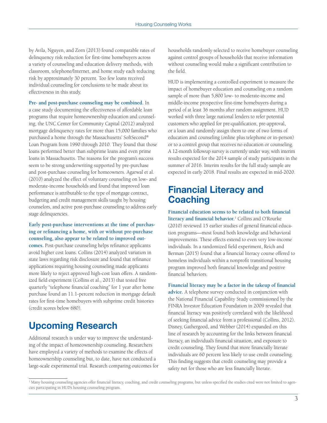by Avila, Nguyen, and Zorn (2013) found comparable rates of delinquency risk reduction for first-time homebuyers across a variety of counseling and education delivery methods, with classroom, telephone/Internet, and home study each reducing risk by approximately 30 percent. Too few loans received individual counseling for conclusions to be made about its effectiveness in this study.

**Pre- and post-purchase counseling may be combined.** In a case study documenting the effectiveness of affordable loan programs that require homeownership education and counseling, the UNC Center for Community Capital (2012) analyzed mortgage delinquency rates for more than 15,000 families who purchased a home through the Massachusetts' SoftSecond® Loan Program from 1990 through 2010. They found that those loans performed better than subprime loans and even prime loans in Massachusetts. The reasons for the program's success seem to be strong underwriting supported by pre-purchase and post-purchase counseling for homeowners. Agarwal et al. (2010) analyzed the effect of voluntary counseling on low- and moderate-income households and found that improved loan performance is attributable to the type of mortgage contract, budgeting and credit management skills taught by housing counselors, and active post-purchase counseling to address early stage delinquencies.

**Early post-purchase interventions at the time of purchasing or refinancing a home, with or without pre-purchase counseling, also appear to be related to improved outcomes.** Post-purchase counseling helps refinance applicants avoid higher cost loans. Collins (2014) analyzed variation in state laws regarding risk disclosure and found that refinance applications requiring housing counseling made applicants more likely to reject approved high-cost loan offers. A randomized field experiment (Collins et al., 2013) that tested free quarterly "telephone financial coaching" for 1 year after home purchase found an 11.1-percent reduction in mortgage default rates for first-time homebuyers with subprime credit histories (credit scores below 680).

# **Upcoming Research**

Additional research is under way to improve the understanding of the impact of homeownership counseling. Researchers have employed a variety of methods to examine the effects of homeownership counseling but, to date, have not conducted a large-scale experimental trial. Research comparing outcomes for households randomly selected to receive homebuyer counseling against control groups of households that receive information without counseling would make a significant contribution to the field.

HUD is implementing a controlled experiment to measure the impact of homebuyer education and counseling on a random sample of more than 5,800 low- to moderate-income and middle-income prospective first-time homebuyers during a period of at least 36 months after random assignment. HUD worked with three large national lenders to refer potential customers who applied for pre-qualification, pre-approval, or a loan and randomly assign them to one of two forms of education and counseling (online plus telephone or in-person) or to a control group that receives no education or counseling. A 12-month followup survey is currently under way, with interim results expected for the 2014 sample of study participants in the summer of 2016. Interim results for the full study sample are expected in early 2018. Final results are expected in mid-2020.

# **Financial Literacy and Coaching**

**Financial education seems to be related to both financial literacy and financial behavior.**<sup>1</sup> Collins and O'Rourke (2010) reviewed 15 earlier studies of general financial education programs—most found both knowledge and behavioral improvements. These effects extend to even very low-income individuals. In a randomized field experiment, Reich and Berman (2015) found that a financial literacy course offered to homeless individuals within a nonprofit transitional housing program improved both financial knowledge and positive financial behaviors.

**Financial literacy may be a factor in the takeup of financial advice.** A telephone survey conducted in conjunction with the National Financial Capability Study commissioned by the FINRA Investor Education Foundation in 2009 revealed that financial literacy was positively correlated with the likelihood of seeking financial advice from a professional (Collins, 2012). Disney, Gathergood, and Webber (2014) expanded on this line of research by accounting for the links between financial literacy, an individual's financial situation, and exposure to credit counseling. They found that more financially literate individuals are 60 percent less likely to use credit counseling. This finding suggests that credit counseling may provide a safety net for those who are less financially literate.

<sup>&</sup>lt;sup>1</sup> Many housing counseling agencies offer financial literacy, coaching, and credit counseling programs, but unless specified the studies cited were not limited to agencies participating in HUD's housing counseling program.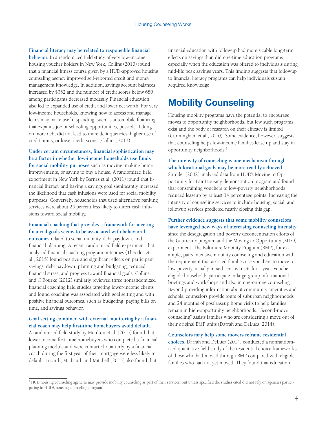**Financial literacy may be related to responsible financial behavior.** In a randomized field study of very low-income housing voucher holders in New York, Collins (2010) found that a financial fitness course given by a HUD-approved housing counseling agency improved self-reported credit and money management knowledge. In addition, savings account balances increased by \$362 and the number of credit scores below 680 among participants decreased modestly. Financial education also led to expanded use of credit and lower net worth. For very low-income households, knowing how to access and manage loans may make useful spending, such as automobile financing that expands job or schooling opportunities, possible. Taking on more debt did not lead to more delinquencies, higher use of credit limits, or lower credit scores (Collins, 2013).

### **Under certain circumstances, financial sophistication may be a factor in whether low-income households use funds**

**for social mobility purposes** such as moving, making home improvements, or saving to buy a house. A randomized field experiment in New York by Barnes et al. (2011) found that financial literacy and having a savings goal significantly increased the likelihood that cash infusions were used for social mobility purposes. Conversely, households that used alternative banking services were about 25 percent less likely to direct cash infusions toward social mobility.

#### **Financial coaching that provides a framework for meeting financial goals seems to be associated with behavioral**

**outcomes** related to social mobility, debt paydown, and financial planning. A recent randomized field experiment that analyzed financial coaching program outcomes (Theodos et al., 2015) found positive and significant effects on participant savings, debt paydown, planning and budgeting, reduced financial stress, and progress toward financial goals. Collins and O'Rourke (2012) similarly reviewed three nonrandomized financial coaching field studies targeting lower-income clients and found coaching was associated with goal setting and with positive financial outcomes, such as budgeting, paying bills on time, and savings behavior.

#### **Goal setting combined with external monitoring by a financial coach may help first-time homebuyers avoid default.**

A randomized field study by Moulton et al. (2015) found that lower income first-time homebuyers who completed a financial planning module and were contacted quarterly by a financial coach during the first year of their mortgage were less likely to default. Lusardi, Michaud, and Mitchell (2015) also found that

financial education with followup had more sizable long-term effects on savings than did one-time education programs, especially when the education was offered to individuals during mid-life peak savings years. This finding suggests that followup to financial literacy programs can help individuals sustain acquired knowledge.

# **Mobility Counseling**

Housing mobility programs have the potential to encourage moves to opportunity neighborhoods, but few such programs exist and the body of research on their efficacy is limited (Cunningham et al., 2010). Some evidence, however, suggests that counseling helps low-income families lease up and stay in opportunity neighborhoods.2

#### **The intensity of counseling is one mechanism through which locational goals may be more readily achieved.**

Shroder (2002) analyzed data from HUD's Moving to Opportunity for Fair Housing demonstration program and found that constraining vouchers to low-poverty neighborhoods reduced leaseup by at least 14 percentage points. Increasing the intensity of counseling services to include housing, social, and followup services predicted nearly closing this gap.

#### **Further evidence suggests that some mobility counselors have leveraged new ways of increasing counseling intensity**

since the desegregation and poverty deconcentration efforts of the Gautreaux program and the Moving to Opportunity (MTO) experiment. The Baltimore Mobility Program (BMP), for example, pairs intensive mobility counseling and education with the requirement that assisted families use vouchers to move to low-poverty, racially mixed census tracts for 1 year. Vouchereligible households participate in large-group informational briefings and workshops and also in one-on-one counseling. Beyond providing information about community amenities and schools, counselors provide tours of suburban neighborhoods and 24 months of postleaseup home visits to help families remain in high-opportunity neighborhoods. "Second-move counseling" assists families who are considering a move out of their original BMP units (Darrah and DeLuca, 2014).

#### **Counselors may help some movers reframe residential**

**choices.** Darrah and DeLuca (2014) conducted a nonrandomized qualitative field study of the residential choice frameworks of those who had moved through BMP compared with eligible families who had not yet moved. They found that education

<sup>2</sup> HUD housing counseling agencies may provide mobility counseling as part of their services, but unless specified the studies cited did not rely on agencies participating in HUD's housing counseling program.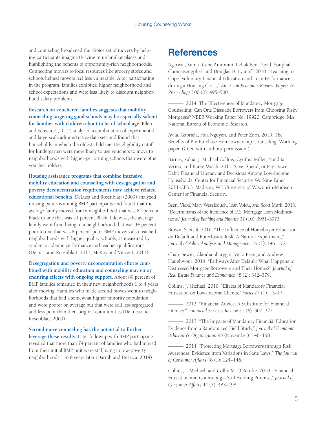and counseling broadened the choice set of movers by helping participants imagine thriving in unfamiliar places and highlighting the benefits of opportunity-rich neighborhoods. Connecting movers to local resources like grocery stores and schools helped movers feel less vulnerable. After participating in the program, families exhibited higher neighborhood and school expectations and were less likely to discount neighborhood safety problems.

**Research on vouchered families suggests that mobility counseling targeting good schools may be especially salient for families with children about to be of school age.** Ellen and Schwartz (2015) analyzed a combination of experimental and large-scale administrative data sets and found that households in which the oldest child met the eligibility cutoff for kindergarten were more likely to use vouchers to move to neighborhoods with higher-performing schools than were other voucher holders.

**Housing assistance programs that combine intensive mobility education and counseling with desegregation and poverty deconcentration requirements may achieve related educational benefits.** DeLuca and Rosenblatt (2009) analyzed moving patterns among BMP participants and found that the average family moved from a neighborhood that was 81 percent Black to one that was 21 percent Black. Likewise, the average family went from living in a neighborhood that was 34 percent poor to one that was 8 percent poor. BMP movers also reached neighborhoods with higher quality schools, as measured by student academic performance and teacher qualifications (DeLuca and Rosenblatt, 2011; McKoy and Vincent, 2011).

**Desegregation and poverty deconcentration efforts combined with mobility education and counseling may enjoy enduring effects with ongoing support.** About 80 percent of BMP families remained in their new neighborhoods 1 to 4 years after moving. Families who made second moves went to neighborhoods that had a somewhat higher minority population and were poorer on average but that were still less segregated and less poor than their original communities (DeLuca and Rosenblatt, 2009).

**Second-move counseling has the potential to further leverage these results.** Later followup with BMP participants revealed that more than 74 percent of families who had moved from their initial BMP unit were still living in low-poverty neighborhoods 1 to 8 years later (Darrah and DeLuca, 2014).

### **References**

Agarwal, Sumit, Gene Amromin, Itzhak Ben-David, Souphala Chomsisengphet, and Douglas D. Evanoff. 2010. "Learning to Cope: Voluntary Financial Education and Loan Performance during a Housing Crisis," *American Economic Review: Papers & Proceedings* 100 (2): 495–500.

-. 2014. The Effectiveness of Mandatory Mortgage Counseling: Can One Dissuade Borrowers from Choosing Risky Mortgages? NBER Working Paper No. 19920. Cambridge, MA: National Bureau of Economic Research.

Avila, Gabriela, Hoa Nguyen, and Peter Zorn. 2013. The Benefits of Pre-Purchase Homeownership Counseling. Working paper. (Cited with authors' permission.)

Barnes, Zakia, J. Michael Collins, Cynthia Miller, Nandita Verma, and Karen Walsh. 2011. Save, Spend, or Pay Down Debt: Financial Literacy and Decisions Among Low-Income Households. Center for Financial Security Working Paper 2011-CFS.3. Madison, WI: University of Wisconsin-Madison, Center for Financial Security.

Been, Vicki, Mary Weselcouch, Ioan Voicu, and Scott Murff. 2013. "Determinants of the Incidence of U.S. Mortgage Loan Modifications," *Journal of Banking and Finance* 37 (10): 3951–3973.

Brown, Scott R. 2016. "The Influence of Homebuyer Education on Default and Foreclosure Risk: A Natural Experiment," *Journal of Policy Analysis and Management* 35 (1): 145–172.

Chan, Sewin, Claudia Sharygin, Vicki Been, and Andrew Haughwout. 2014. "Pathways After Default: What Happens to Distressed Mortgage Borrowers and Their Homes?" *Journal of Real Estate Finance and Economics* 48 (2): 342–379.

Collins, J. Michael. 2010. "Effects of Mandatory Financial Education on Low-Income Clients," *Focus* 27 (1): 13–17.

———. 2012. "Financial Advice: A Substitute for Financial Literacy?" *Financial Services Review* 21 (4): 307–322.

———. 2013. "The Impacts of Mandatory Financial Education: Evidence from a Randomized Field Study," *Journal of Economic Behavior & Organization* 95 (November): 146–158.

———. 2014. "Protecting Mortgage Borrowers through Risk Awareness: Evidence from Variations in State Laws," *The Journal of Consumer Affairs* 48 (1): 124–146.

Collins, J. Michael, and Collin M. O'Rourke. 2010. "Financial Education and Counseling—Still Holding Promise," *Journal of Consumer Affairs* 44 (3): 483–498.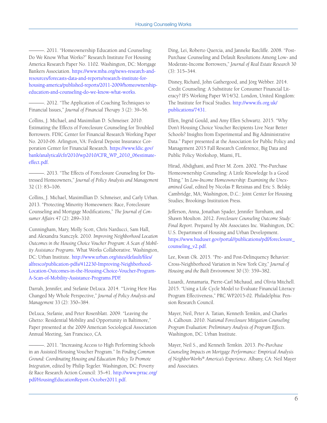-. 2011. "Homeownership Education and Counseling: Do We Know What Works?" Research Institute For Housing America Research Paper No. 1102. Washington, DC: Mortgage Bankers Association. [https://www.mba.org/news-research-and](https://www.mba.org/news-research-and-resources/forecasts-data-and-reports/research-institute-for-housing-america/published-reports/2011-2009/homeownership-education-and-counseling-do-we-know-what-works)[resources/forecasts-data-and-reports/research-institute-for](https://www.mba.org/news-research-and-resources/forecasts-data-and-reports/research-institute-for-housing-america/published-reports/2011-2009/homeownership-education-and-counseling-do-we-know-what-works)[housing-america/published-reports/2011-2009/homeownership](https://www.mba.org/news-research-and-resources/forecasts-data-and-reports/research-institute-for-housing-america/published-reports/2011-2009/homeownership-education-and-counseling-do-we-know-what-works)[education-and-counseling-do-we-know-what-works.](https://www.mba.org/news-research-and-resources/forecasts-data-and-reports/research-institute-for-housing-america/published-reports/2011-2009/homeownership-education-and-counseling-do-we-know-what-works)

———. 2012. "The Application of Coaching Techniques to Financial Issues," *Journal of Financial Therapy* 3 (2): 39–56.

Collins, J. Michael, and Maximilian D. Schmeiser. 2010. Estimating the Effects of Foreclosure Counseling for Troubled Borrowers. FDIC Center for Financial Research Working Paper No. 2010-06. Arlington, VA: Federal Depoist Insurance Corporation Center for Financial Research. [https://www.fdic.gov/](https://www.fdic.gov/bank/analytical/cfr/2010/wp2010/CFR_WP_2010_06estimate-effect.pdf) [bank/analytical/cfr/2010/wp2010/CFR\\_WP\\_2010\\_06estimate](https://www.fdic.gov/bank/analytical/cfr/2010/wp2010/CFR_WP_2010_06estimate-effect.pdf)[effect.pdf](https://www.fdic.gov/bank/analytical/cfr/2010/wp2010/CFR_WP_2010_06estimate-effect.pdf).

———. 2013. "The Effects of Foreclosure Counseling for Distressed Homeowners," *Journal of Policy Analysis and Management* 32 (1): 83–106.

Collins, J. Michael, Maximillian D. Schmeiser, and Carly Urban. 2013. "Protecting Minority Homeowners: Race, Foreclosure Counseling and Mortgage Modifications," *The Journal of Consumer Affairs* 47 (2): 289–310.

Cunningham, Mary, Molly Scott, Chris Narducci, Sam Hall, and Alexandra Stanczyk. 2010. *Improving Neighborhood Location Outcomes in the Housing Choice Voucher Program: A Scan of Mobility Assistance Programs*. What Works Collaborative. Washington, DC: Urban Institute. [http://www.urban.org/sites/default/files/](http://www.urban.org/sites/default/files/alfresco/publication-pdfs/412230-Improving-Neighborhood-Location-Outcomes-in-the-Housing-Choice-Voucher-Program-A-Scan-of-Mobility-Assistance-Programs.PDF) [alfresco/publication-pdfs/412230-Improving-Neighborhood-](http://www.urban.org/sites/default/files/alfresco/publication-pdfs/412230-Improving-Neighborhood-Location-Outcomes-in-the-Housing-Choice-Voucher-Program-A-Scan-of-Mobility-Assistance-Programs.PDF)[Location-Outcomes-in-the-Housing-Choice-Voucher-Program-](http://www.urban.org/sites/default/files/alfresco/publication-pdfs/412230-Improving-Neighborhood-Location-Outcomes-in-the-Housing-Choice-Voucher-Program-A-Scan-of-Mobility-Assistance-Programs.PDF)[A-Scan-of-Mobility-Assistance-Programs.PDF](http://www.urban.org/sites/default/files/alfresco/publication-pdfs/412230-Improving-Neighborhood-Location-Outcomes-in-the-Housing-Choice-Voucher-Program-A-Scan-of-Mobility-Assistance-Programs.PDF).

Darrah, Jennifer, and Stefanie DeLuca. 2014. "'Living Here Has Changed My Whole Perspective," *Journal of Policy Analysis and Management* 33 (2): 350–384.

DeLuca, Stefanie, and Peter Rosenblatt. 2009. "Leaving the Ghetto: Residential Mobility and Opportunity in Baltimore," Paper presented at the 2009 American Sociological Association Annual Meeting, San Francisco, CA.

———. 2011. "Increasing Access to High Performing Schools in an Assisted Housing Voucher Program." In *Finding Common Ground: Coordinating Housing and Education Policy To Promote Integration*, edited by Philip Tegeler. Washington, DC: Poverty & Race Research Action Council: 35–41. [http://www.prrac.org/](http://www.prrac.org/pdf/HousingEducationReport-October2011.pdf) [pdf/HousingEducationReport-October2011.pdf](http://www.prrac.org/pdf/HousingEducationReport-October2011.pdf).

Ding, Lei, Roberto Quercia, and Janneke Ratcliffe. 2008. "Post-Purchase Counseling and Default Resolutions Among Low- and Moderate-Income Borrowers," *Journal of Real Estate Research* 30 (3): 315–344.

Disney, Richard, John Gathergood, and Jörg Webber. 2014. Credit Counseling: A Substitute for Consumer Financial Literacy? IFS Working Paper W14/32. London, United Kingdom: The Institute for Fiscal Studies. [http://www.ifs.org.uk/](http://www.ifs.org.uk/publications/7431) [publications/7431](http://www.ifs.org.uk/publications/7431).

Ellen, Ingrid Gould, and Amy Ellen Schwartz. 2015. "Why Don't Housing Choice Voucher Recipients Live Near Better Schools? Insights from Experimental and Big Administrative Data." Paper presented at the Association for Public Policy and Management 2015 Fall Research Conference, Big Data and Public Policy Workshop, Miami, FL.

Hirad, Abdighani, and Peter M. Zorn. 2002. "Pre-Purchase Homeownership Counseling: A Little Knowledge Is a Good Thing." In *Low-Income Homeownership: Examining the Unexamined Goal*, edited by Nicolas P. Retsinas and Eric S. Belsky. Cambridge, MA; Washington, D.C.: Joint Center for Housing Studies; Brookings Institution Press.

Jefferson, Anna, Jonathan Spader, Jennifer Turnham, and Shawn Moulton. 2012. *Foreclosure Counseling Outcome Study: Final Report*. Prepared by Abt Associates Inc. Washington, DC: U.S. Department of Housing and Urban Development. [https://www.huduser.gov/portal//publications/pdf/foreclosure\\_](https://www.huduser.gov/portal//publications/pdf/foreclosure_counseling_v2.pdf) [counseling\\_v2.pdf](https://www.huduser.gov/portal//publications/pdf/foreclosure_counseling_v2.pdf).

Lee, Kwan Ok. 2015. "Pre- and Post-Delinquency Behavior: Cross-Neighborhood Variation in New York City," *Journal of Housing and the Built Environment* 30 (3): 359–382.

Lusardi, Annamaria, Pierre-Carl Michaud, and Olivia Mitchell. 2015. "Using a Life Cycle Model to Evaluate Financial Literacy Program Effectiveness," PRC WP2015-02. Philadelphia: Pension Research Council.

Mayer, Neil, Peter A. Tatian, Kenneth Temkin, and Charles A. Calhoun. 2010. N*ational Foreclosure Mitigation Counseling Program Evaluation: Preliminary Analysis of Program Effects*. Washington, DC: Urban Institute.

Mayer, Neil S., and Kenneth Temkin. 2013. *Pre-Purchase Counseling Impacts on Mortgage Performance: Empirical Analysis of NeighborWorks® America's Experience*. Albany, CA: Neil Mayer and Associates.